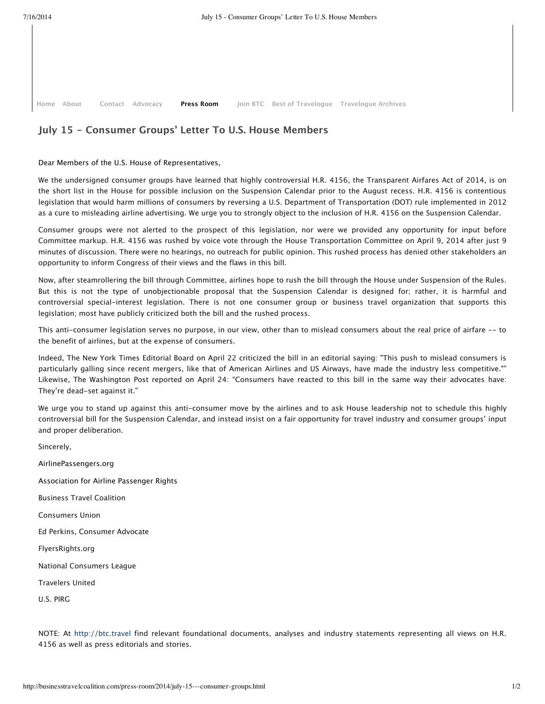**Home Contact Join BTC Best of Travelogue Travelogue Archives Contact Advocacy** 

## **July 15 - Consumer Groups' Letter To U.S. House Members**

## Dear Members of the U.S. House of Representatives,

We the undersigned consumer groups have learned that highly controversial H.R. 4156, the Transparent Airfares Act of 2014, is on the short list in the House for possible inclusion on the Suspension Calendar prior to the August recess. H.R. 4156 is contentious legislation that would harm millions of consumers by reversing a U.S. Department of Transportation (DOT) rule implemented in 2012 as a cure to misleading airline advertising. We urge you to strongly object to the inclusion of H.R. 4156 on the Suspension Calendar.

Consumer groups were not alerted to the prospect of this legislation, nor were we provided any opportunity for input before Committee markup. H.R. 4156 was rushed by voice vote through the House Transportation Committee on April 9, 2014 after just 9 minutes of discussion. There were no hearings, no outreach for public opinion. This rushed process has denied other stakeholders an opportunity to inform Congress of their views and the flaws in this bill.

Now, after steamrollering the bill through Committee, airlines hope to rush the bill through the House under Suspension of the Rules. But this is not the type of unobjectionable proposal that the Suspension Calendar is designed for; rather, it is harmful and controversial special-interest legislation. There is not one consumer group or business travel organization that supports this legislation; most have publicly criticized both the bill and the rushed process.

This anti-consumer legislation serves no purpose, in our view, other than to mislead consumers about the real price of airfare -- to the benefit of airlines, but at the expense of consumers.

Indeed, The New York Times Editorial Board on April 22 criticized the bill in an editorial saying: "This push to mislead consumers is particularly galling since recent mergers, like that of American Airlines and US Airways, have made the industry less competitive."" Likewise, The Washington Post reported on April 24: "Consumers have reacted to this bill in the same way their advocates have: They're dead-set against it."

We urge you to stand up against this anti-consumer move by the airlines and to ask House leadership not to schedule this highly controversial bill for the Suspension Calendar, and instead insist on a fair opportunity for travel industry and consumer groups' input and proper deliberation.

AirlinePassengers.org Association for Airline Passenger Rights Business Travel Coalition Consumers Union Ed Perkins, Consumer Advocate FlyersRights.org National Consumers League Travelers United

U.S. PIRG

Sincerely,

NOTE: At http://btc.travel find relevant foundational documents, analyses and industry statements representing all views on H.R. 4156 as well as press editorials and stories.